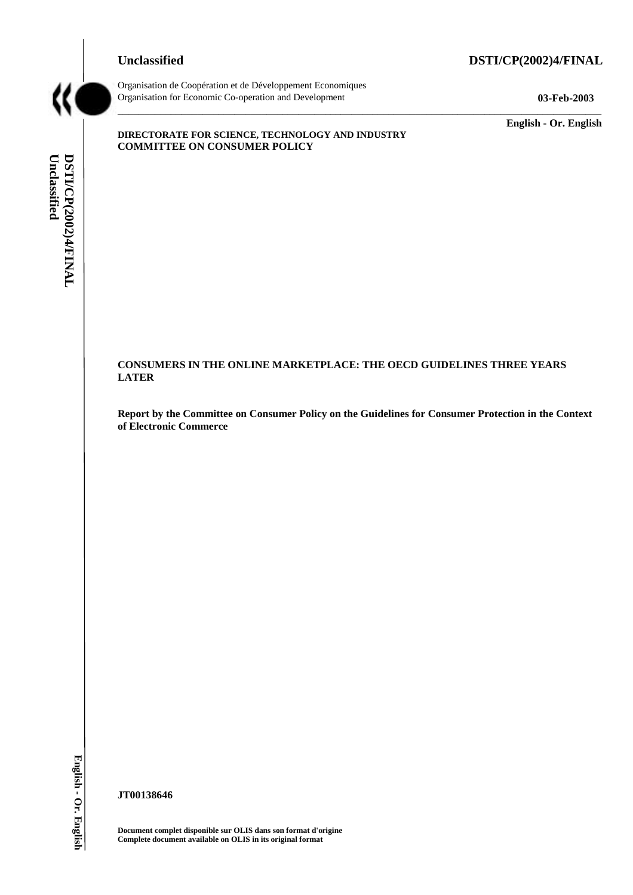### **Unclassified DSTI/CP(2002)4/FINAL**



Organisation de Coopération et de Développement Economiques Organisation for Economic Co-operation and Development **03-Feb-2003** 

**English - Or. English** 

## Unclassified DSTI/CP(2002)4/FINAL **Unclassified DSTI/CP(2002)4/FINAL English - Or. English**

### **DIRECTORATE FOR SCIENCE, TECHNOLOGY AND INDUSTRY COMMITTEE ON CONSUMER POLICY**

## **CONSUMERS IN THE ONLINE MARKETPLACE: THE OECD GUIDELINES THREE YEARS LATER**

**Report by the Committee on Consumer Policy on the Guidelines for Consumer Protection in the Context of Electronic Commerce** 

\_\_\_\_\_\_\_\_\_\_\_\_\_\_\_\_\_\_\_\_\_\_\_\_\_\_\_\_\_\_\_\_\_\_\_\_\_\_\_\_\_\_\_\_\_\_\_\_\_\_\_\_\_\_\_\_\_\_\_\_\_\_\_\_\_\_\_\_\_\_\_\_\_\_\_\_\_\_\_\_\_\_\_\_\_\_\_\_\_\_\_

**JT00138646** 

**Document complet disponible sur OLIS dans son format d'origine Complete document available on OLIS in its original format**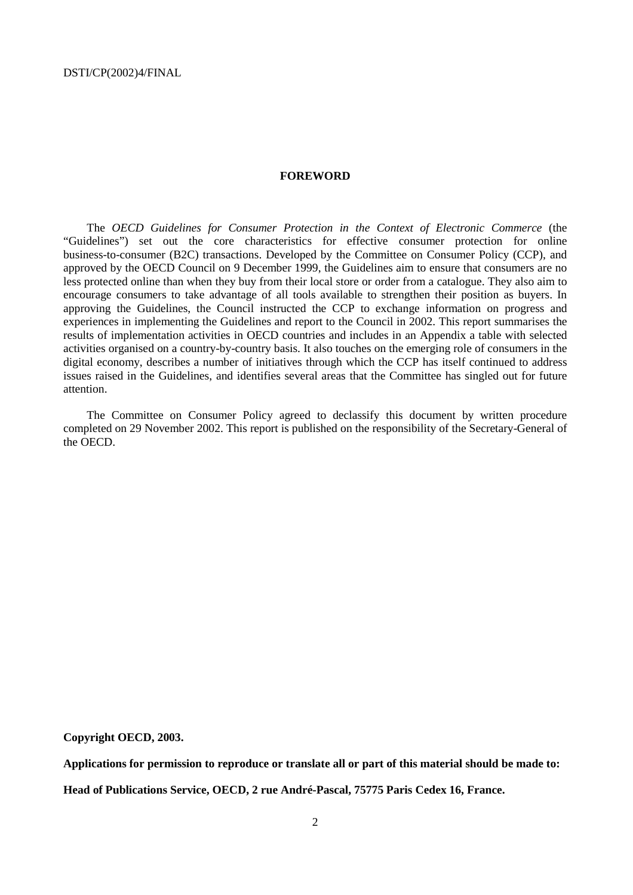### **FOREWORD**

The *OECD Guidelines for Consumer Protection in the Context of Electronic Commerce* (the "Guidelines") set out the core characteristics for effective consumer protection for online business-to-consumer (B2C) transactions. Developed by the Committee on Consumer Policy (CCP), and approved by the OECD Council on 9 December 1999, the Guidelines aim to ensure that consumers are no less protected online than when they buy from their local store or order from a catalogue. They also aim to encourage consumers to take advantage of all tools available to strengthen their position as buyers. In approving the Guidelines, the Council instructed the CCP to exchange information on progress and experiences in implementing the Guidelines and report to the Council in 2002. This report summarises the results of implementation activities in OECD countries and includes in an Appendix a table with selected activities organised on a country-by-country basis. It also touches on the emerging role of consumers in the digital economy, describes a number of initiatives through which the CCP has itself continued to address issues raised in the Guidelines, and identifies several areas that the Committee has singled out for future attention.

The Committee on Consumer Policy agreed to declassify this document by written procedure completed on 29 November 2002. This report is published on the responsibility of the Secretary-General of the OECD.

**Copyright OECD, 2003.** 

**Applications for permission to reproduce or translate all or part of this material should be made to: Head of Publications Service, OECD, 2 rue André-Pascal, 75775 Paris Cedex 16, France.**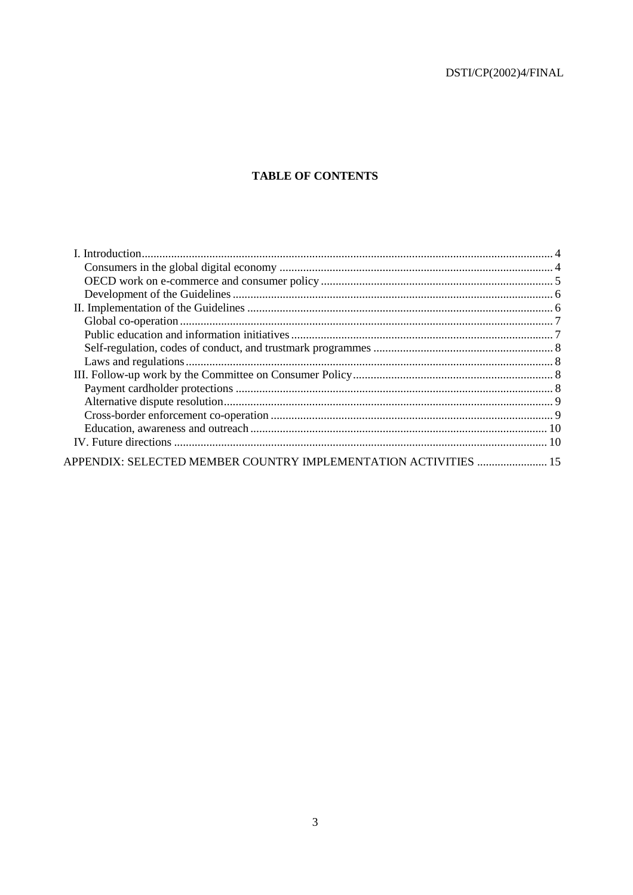$\ensuremath{\mathsf{DSTl/CP}}\xspace(2002)4/\ensuremath{\mathsf{FINAL}}\xspace$ 

### **TABLE OF CONTENTS**

| APPENDIX: SELECTED MEMBER COUNTRY IMPLEMENTATION ACTIVITIES  15 |  |
|-----------------------------------------------------------------|--|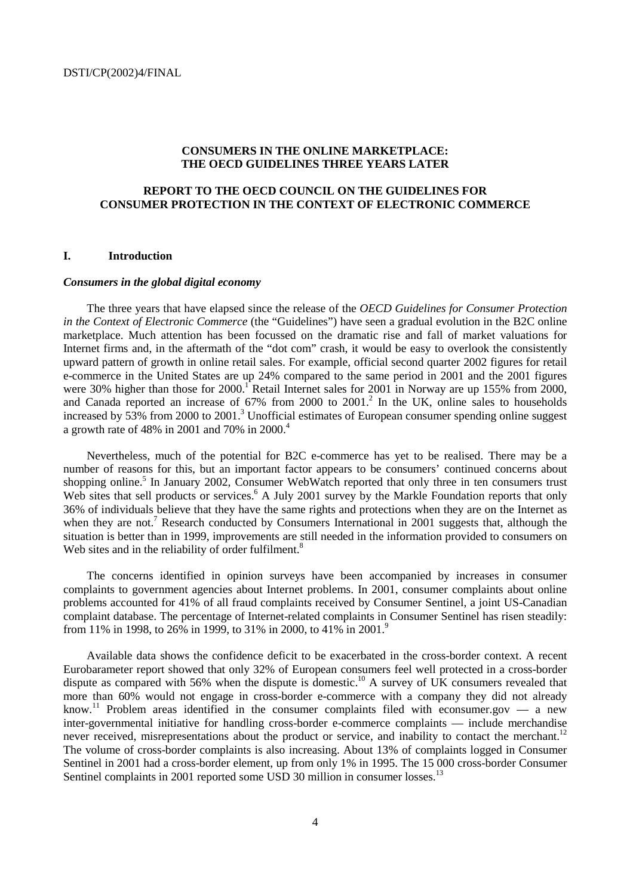### **CONSUMERS IN THE ONLINE MARKETPLACE: THE OECD GUIDELINES THREE YEARS LATER**

### **REPORT TO THE OECD COUNCIL ON THE GUIDELINES FOR CONSUMER PROTECTION IN THE CONTEXT OF ELECTRONIC COMMERCE**

### **I. Introduction**

### *Consumers in the global digital economy*

The three years that have elapsed since the release of the *OECD Guidelines for Consumer Protection in the Context of Electronic Commerce* (the "Guidelines") have seen a gradual evolution in the B2C online marketplace. Much attention has been focussed on the dramatic rise and fall of market valuations for Internet firms and, in the aftermath of the "dot com" crash, it would be easy to overlook the consistently upward pattern of growth in online retail sales. For example, official second quarter 2002 figures for retail e-commerce in the United States are up 24% compared to the same period in 2001 and the 2001 figures were 30% higher than those for  $2000$ .<sup>1</sup> Retail Internet sales for  $2001$  in Norway are up 155% from 2000, and Canada reported an increase of  $67\%$  from  $2000$  to  $2001$ .<sup>2</sup> In the UK, online sales to households increased by  $53\%$  from 2000 to 2001.<sup>3</sup> Unofficial estimates of European consumer spending online suggest a growth rate of 48% in 2001 and 70% in 2000.<sup>4</sup>

Nevertheless, much of the potential for B2C e-commerce has yet to be realised. There may be a number of reasons for this, but an important factor appears to be consumers' continued concerns about shopping online.<sup>5</sup> In January 2002, Consumer WebWatch reported that only three in ten consumers trust Web sites that sell products or services.<sup>6</sup> A July 2001 survey by the Markle Foundation reports that only 36% of individuals believe that they have the same rights and protections when they are on the Internet as when they are not.<sup>7</sup> Research conducted by Consumers International in 2001 suggests that, although the situation is better than in 1999, improvements are still needed in the information provided to consumers on Web sites and in the reliability of order fulfilment.<sup>8</sup>

The concerns identified in opinion surveys have been accompanied by increases in consumer complaints to government agencies about Internet problems. In 2001, consumer complaints about online problems accounted for 41% of all fraud complaints received by Consumer Sentinel, a joint US-Canadian complaint database. The percentage of Internet-related complaints in Consumer Sentinel has risen steadily: from 11% in 1998, to 26% in 1999, to 31% in 2000, to 41% in 2001.<sup>9</sup>

Available data shows the confidence deficit to be exacerbated in the cross-border context. A recent Eurobarameter report showed that only 32% of European consumers feel well protected in a cross-border dispute as compared with 56% when the dispute is domestic.<sup>10</sup> A survey of UK consumers revealed that more than 60% would not engage in cross-border e-commerce with a company they did not already know.<sup>11</sup> Problem areas identified in the consumer complaints filed with econsumer.gov — a new inter-governmental initiative for handling cross-border e-commerce complaints — include merchandise never received, misrepresentations about the product or service, and inability to contact the merchant.<sup>12</sup> The volume of cross-border complaints is also increasing. About 13% of complaints logged in Consumer Sentinel in 2001 had a cross-border element, up from only 1% in 1995. The 15 000 cross-border Consumer Sentinel complaints in 2001 reported some USD 30 million in consumer losses.<sup>13</sup>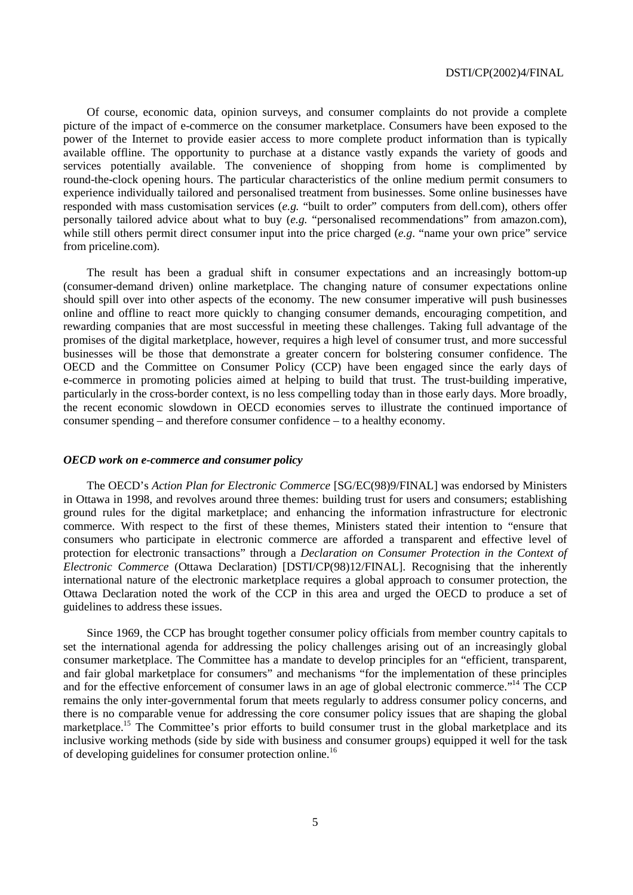Of course, economic data, opinion surveys, and consumer complaints do not provide a complete picture of the impact of e-commerce on the consumer marketplace. Consumers have been exposed to the power of the Internet to provide easier access to more complete product information than is typically available offline. The opportunity to purchase at a distance vastly expands the variety of goods and services potentially available. The convenience of shopping from home is complimented by round-the-clock opening hours. The particular characteristics of the online medium permit consumers to experience individually tailored and personalised treatment from businesses. Some online businesses have responded with mass customisation services (*e.g.* "built to order" computers from dell.com), others offer personally tailored advice about what to buy (*e.g.* "personalised recommendations" from amazon.com), while still others permit direct consumer input into the price charged (*e.g.* "name your own price" service from priceline.com).

The result has been a gradual shift in consumer expectations and an increasingly bottom-up (consumer-demand driven) online marketplace. The changing nature of consumer expectations online should spill over into other aspects of the economy. The new consumer imperative will push businesses online and offline to react more quickly to changing consumer demands, encouraging competition, and rewarding companies that are most successful in meeting these challenges. Taking full advantage of the promises of the digital marketplace, however, requires a high level of consumer trust, and more successful businesses will be those that demonstrate a greater concern for bolstering consumer confidence. The OECD and the Committee on Consumer Policy (CCP) have been engaged since the early days of e-commerce in promoting policies aimed at helping to build that trust. The trust-building imperative, particularly in the cross-border context, is no less compelling today than in those early days. More broadly, the recent economic slowdown in OECD economies serves to illustrate the continued importance of consumer spending – and therefore consumer confidence – to a healthy economy.

### *OECD work on e-commerce and consumer policy*

The OECD's *Action Plan for Electronic Commerce* [SG/EC(98)9/FINAL] was endorsed by Ministers in Ottawa in 1998, and revolves around three themes: building trust for users and consumers; establishing ground rules for the digital marketplace; and enhancing the information infrastructure for electronic commerce. With respect to the first of these themes, Ministers stated their intention to "ensure that consumers who participate in electronic commerce are afforded a transparent and effective level of protection for electronic transactions" through a *Declaration on Consumer Protection in the Context of Electronic Commerce* (Ottawa Declaration) [DSTI/CP(98)12/FINAL]. Recognising that the inherently international nature of the electronic marketplace requires a global approach to consumer protection, the Ottawa Declaration noted the work of the CCP in this area and urged the OECD to produce a set of guidelines to address these issues.

Since 1969, the CCP has brought together consumer policy officials from member country capitals to set the international agenda for addressing the policy challenges arising out of an increasingly global consumer marketplace. The Committee has a mandate to develop principles for an "efficient, transparent, and fair global marketplace for consumers" and mechanisms "for the implementation of these principles and for the effective enforcement of consumer laws in an age of global electronic commerce."14 The CCP remains the only inter-governmental forum that meets regularly to address consumer policy concerns, and there is no comparable venue for addressing the core consumer policy issues that are shaping the global marketplace.<sup>15</sup> The Committee's prior efforts to build consumer trust in the global marketplace and its inclusive working methods (side by side with business and consumer groups) equipped it well for the task of developing guidelines for consumer protection online.16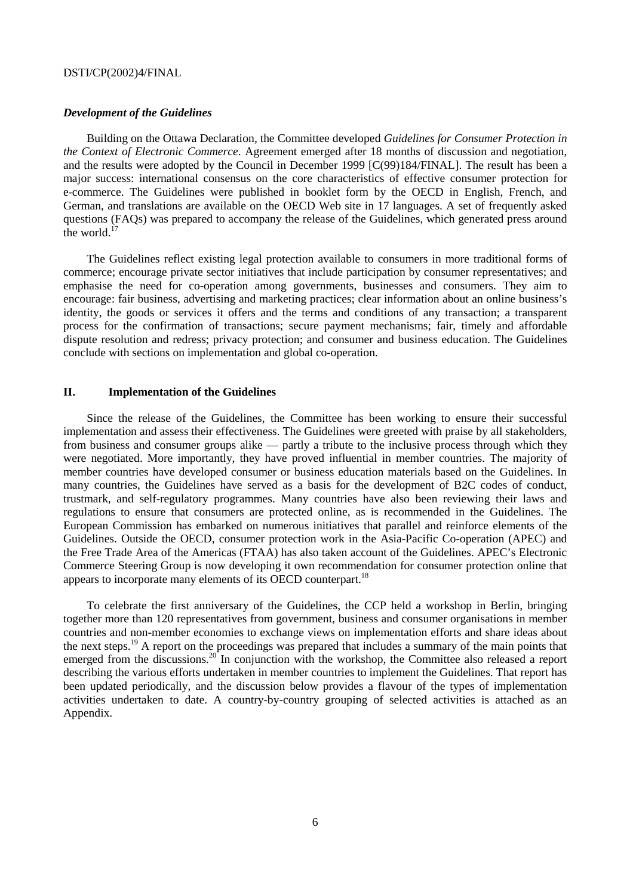### *Development of the Guidelines*

Building on the Ottawa Declaration, the Committee developed *Guidelines for Consumer Protection in the Context of Electronic Commerce*. Agreement emerged after 18 months of discussion and negotiation, and the results were adopted by the Council in December 1999 [C(99)184/FINAL]. The result has been a major success: international consensus on the core characteristics of effective consumer protection for e-commerce. The Guidelines were published in booklet form by the OECD in English, French, and German, and translations are available on the OECD Web site in 17 languages. A set of frequently asked questions (FAQs) was prepared to accompany the release of the Guidelines, which generated press around the world. $^{17}$ 

The Guidelines reflect existing legal protection available to consumers in more traditional forms of commerce; encourage private sector initiatives that include participation by consumer representatives; and emphasise the need for co-operation among governments, businesses and consumers. They aim to encourage: fair business, advertising and marketing practices; clear information about an online business's identity, the goods or services it offers and the terms and conditions of any transaction; a transparent process for the confirmation of transactions; secure payment mechanisms; fair, timely and affordable dispute resolution and redress; privacy protection; and consumer and business education. The Guidelines conclude with sections on implementation and global co-operation.

### **II. Implementation of the Guidelines**

Since the release of the Guidelines, the Committee has been working to ensure their successful implementation and assess their effectiveness. The Guidelines were greeted with praise by all stakeholders, from business and consumer groups alike — partly a tribute to the inclusive process through which they were negotiated. More importantly, they have proved influential in member countries. The majority of member countries have developed consumer or business education materials based on the Guidelines. In many countries, the Guidelines have served as a basis for the development of B2C codes of conduct, trustmark, and self-regulatory programmes. Many countries have also been reviewing their laws and regulations to ensure that consumers are protected online, as is recommended in the Guidelines. The European Commission has embarked on numerous initiatives that parallel and reinforce elements of the Guidelines. Outside the OECD, consumer protection work in the Asia-Pacific Co-operation (APEC) and the Free Trade Area of the Americas (FTAA) has also taken account of the Guidelines. APEC's Electronic Commerce Steering Group is now developing it own recommendation for consumer protection online that appears to incorporate many elements of its OECD counterpart.<sup>18</sup>

To celebrate the first anniversary of the Guidelines, the CCP held a workshop in Berlin, bringing together more than 120 representatives from government, business and consumer organisations in member countries and non-member economies to exchange views on implementation efforts and share ideas about the next steps.19 A report on the proceedings was prepared that includes a summary of the main points that emerged from the discussions.<sup>20</sup> In conjunction with the workshop, the Committee also released a report describing the various efforts undertaken in member countries to implement the Guidelines. That report has been updated periodically, and the discussion below provides a flavour of the types of implementation activities undertaken to date. A country-by-country grouping of selected activities is attached as an Appendix.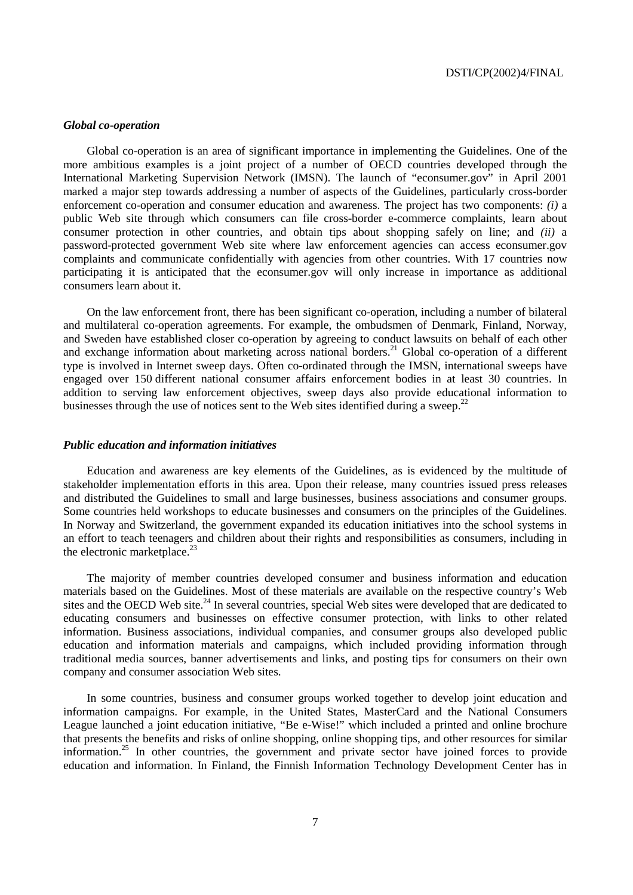### *Global co-operation*

Global co-operation is an area of significant importance in implementing the Guidelines. One of the more ambitious examples is a joint project of a number of OECD countries developed through the International Marketing Supervision Network (IMSN). The launch of "econsumer.gov" in April 2001 marked a major step towards addressing a number of aspects of the Guidelines, particularly cross-border enforcement co-operation and consumer education and awareness. The project has two components: *(i)* a public Web site through which consumers can file cross-border e-commerce complaints, learn about consumer protection in other countries, and obtain tips about shopping safely on line; and *(ii)* a password-protected government Web site where law enforcement agencies can access econsumer.gov complaints and communicate confidentially with agencies from other countries. With 17 countries now participating it is anticipated that the econsumer.gov will only increase in importance as additional consumers learn about it.

On the law enforcement front, there has been significant co-operation, including a number of bilateral and multilateral co-operation agreements. For example, the ombudsmen of Denmark, Finland, Norway, and Sweden have established closer co-operation by agreeing to conduct lawsuits on behalf of each other and sweden have established closer co-operation by agreeing to conduct amount on common of calculation about marketing across national borders.<sup>21</sup> Global co-operation of a different type is involved in Internet sweep days. Often co-ordinated through the IMSN, international sweeps have engaged over 150 different national consumer affairs enforcement bodies in at least 30 countries. In addition to serving law enforcement objectives, sweep days also provide educational information to businesses through the use of notices sent to the Web sites identified during a sweep.<sup>22</sup>

### *Public education and information initiatives*

Education and awareness are key elements of the Guidelines, as is evidenced by the multitude of stakeholder implementation efforts in this area. Upon their release, many countries issued press releases and distributed the Guidelines to small and large businesses, business associations and consumer groups. Some countries held workshops to educate businesses and consumers on the principles of the Guidelines. In Norway and Switzerland, the government expanded its education initiatives into the school systems in an effort to teach teenagers and children about their rights and responsibilities as consumers, including in the electronic marketplace. $^{23}$ 

The majority of member countries developed consumer and business information and education materials based on the Guidelines. Most of these materials are available on the respective country's Web sites and the OECD Web site.<sup>24</sup> In several countries, special Web sites were developed that are dedicated to educating consumers and businesses on effective consumer protection, with links to other related information. Business associations, individual companies, and consumer groups also developed public education and information materials and campaigns, which included providing information through traditional media sources, banner advertisements and links, and posting tips for consumers on their own company and consumer association Web sites.

In some countries, business and consumer groups worked together to develop joint education and information campaigns. For example, in the United States, MasterCard and the National Consumers League launched a joint education initiative, "Be e-Wise!" which included a printed and online brochure that presents the benefits and risks of online shopping, online shopping tips, and other resources for similar information.<sup>25</sup> In other countries, the government and private sector have joined forces to provide education and information. In Finland, the Finnish Information Technology Development Center has in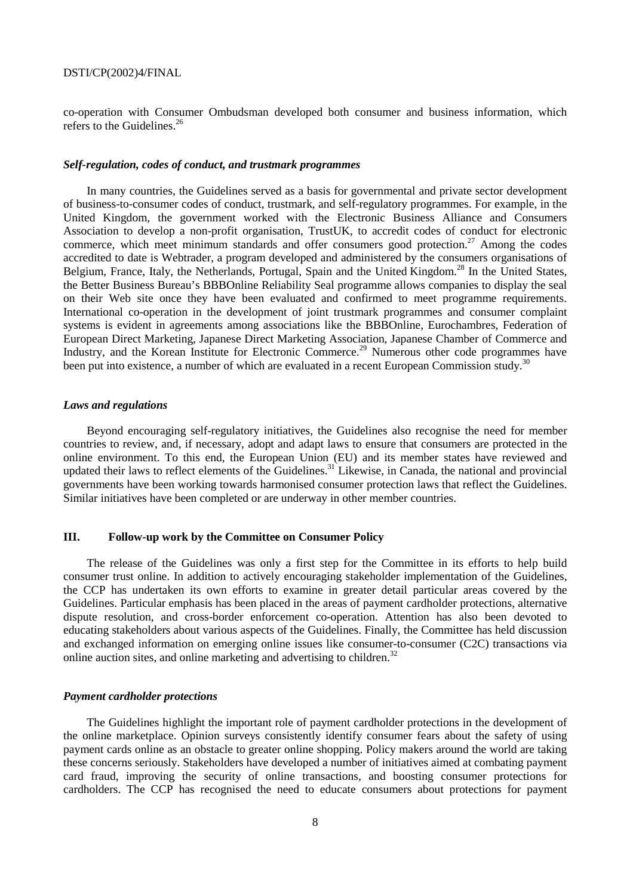co-operation with Consumer Ombudsman developed both consumer and business information, which refers to the Guidelines. $^{26}$ 

### *Self-regulation, codes of conduct, and trustmark programmes*

In many countries, the Guidelines served as a basis for governmental and private sector development of business-to-consumer codes of conduct, trustmark, and self-regulatory programmes. For example, in the United Kingdom, the government worked with the Electronic Business Alliance and Consumers Association to develop a non-profit organisation, TrustUK, to accredit codes of conduct for electronic commerce, which meet minimum standards and offer consumers good protection.<sup>27</sup> Among the codes accredited to date is Webtrader, a program developed and administered by the consumers organisations of Belgium, France, Italy, the Netherlands, Portugal, Spain and the United Kingdom.<sup>28</sup> In the United States, the Better Business Bureau's BBBOnline Reliability Seal programme allows companies to display the seal on their Web site once they have been evaluated and confirmed to meet programme requirements. International co-operation in the development of joint trustmark programmes and consumer complaint systems is evident in agreements among associations like the BBBOnline, Eurochambres, Federation of European Direct Marketing, Japanese Direct Marketing Association, Japanese Chamber of Commerce and Industry, and the Korean Institute for Electronic Commerce.<sup>29</sup> Numerous other code programmes have been put into existence, a number of which are evaluated in a recent European Commission study.<sup>30</sup>

### *Laws and regulations*

Beyond encouraging self-regulatory initiatives, the Guidelines also recognise the need for member countries to review, and, if necessary, adopt and adapt laws to ensure that consumers are protected in the online environment. To this end, the European Union (EU) and its member states have reviewed and updated their laws to reflect elements of the Guidelines.<sup>31</sup> Likewise, in Canada, the national and provincial governments have been working towards harmonised consumer protection laws that reflect the Guidelines. Similar initiatives have been completed or are underway in other member countries.

### **III. Follow-up work by the Committee on Consumer Policy**

The release of the Guidelines was only a first step for the Committee in its efforts to help build consumer trust online. In addition to actively encouraging stakeholder implementation of the Guidelines, the CCP has undertaken its own efforts to examine in greater detail particular areas covered by the Guidelines. Particular emphasis has been placed in the areas of payment cardholder protections, alternative dispute resolution, and cross-border enforcement co-operation. Attention has also been devoted to educating stakeholders about various aspects of the Guidelines. Finally, the Committee has held discussion and exchanged information on emerging online issues like consumer-to-consumer (C2C) transactions via online auction sites, and online marketing and advertising to children.<sup>32</sup>

### *Payment cardholder protections*

The Guidelines highlight the important role of payment cardholder protections in the development of the online marketplace. Opinion surveys consistently identify consumer fears about the safety of using payment cards online as an obstacle to greater online shopping. Policy makers around the world are taking these concerns seriously. Stakeholders have developed a number of initiatives aimed at combating payment card fraud, improving the security of online transactions, and boosting consumer protections for cardholders. The CCP has recognised the need to educate consumers about protections for payment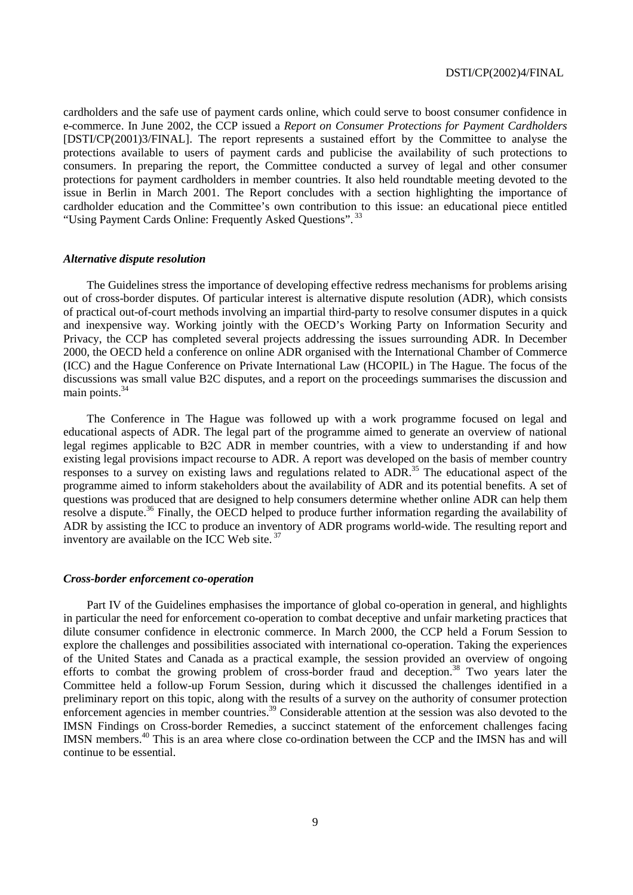cardholders and the safe use of payment cards online, which could serve to boost consumer confidence in e-commerce. In June 2002, the CCP issued a *Report on Consumer Protections for Payment Cardholders*  [DSTI/CP(2001)3/FINAL]. The report represents a sustained effort by the Committee to analyse the protections available to users of payment cards and publicise the availability of such protections to consumers. In preparing the report, the Committee conducted a survey of legal and other consumer protections for payment cardholders in member countries. It also held roundtable meeting devoted to the issue in Berlin in March 2001. The Report concludes with a section highlighting the importance of cardholder education and the Committee's own contribution to this issue: an educational piece entitled "Using Payment Cards Online: Frequently Asked Questions". 33

### *Alternative dispute resolution*

The Guidelines stress the importance of developing effective redress mechanisms for problems arising out of cross-border disputes. Of particular interest is alternative dispute resolution (ADR), which consists of practical out-of-court methods involving an impartial third-party to resolve consumer disputes in a quick and inexpensive way. Working jointly with the OECD's Working Party on Information Security and Privacy, the CCP has completed several projects addressing the issues surrounding ADR. In December 2000, the OECD held a conference on online ADR organised with the International Chamber of Commerce (ICC) and the Hague Conference on Private International Law (HCOPIL) in The Hague. The focus of the discussions was small value B2C disputes, and a report on the proceedings summarises the discussion and main points. $34$ 

The Conference in The Hague was followed up with a work programme focused on legal and educational aspects of ADR. The legal part of the programme aimed to generate an overview of national legal regimes applicable to B2C ADR in member countries, with a view to understanding if and how existing legal provisions impact recourse to ADR. A report was developed on the basis of member country responses to a survey on existing laws and regulations related to ADR.35 The educational aspect of the programme aimed to inform stakeholders about the availability of ADR and its potential benefits. A set of questions was produced that are designed to help consumers determine whether online ADR can help them resolve a dispute.36 Finally, the OECD helped to produce further information regarding the availability of ADR by assisting the ICC to produce an inventory of ADR programs world-wide. The resulting report and inventory are available on the ICC Web site.<sup>37</sup>

### *Cross-border enforcement co-operation*

Part IV of the Guidelines emphasises the importance of global co-operation in general, and highlights in particular the need for enforcement co-operation to combat deceptive and unfair marketing practices that dilute consumer confidence in electronic commerce. In March 2000, the CCP held a Forum Session to explore the challenges and possibilities associated with international co-operation. Taking the experiences of the United States and Canada as a practical example, the session provided an overview of ongoing efforts to combat the growing problem of cross-border fraud and deception.<sup>38</sup> Two years later the Committee held a follow-up Forum Session, during which it discussed the challenges identified in a preliminary report on this topic, along with the results of a survey on the authority of consumer protection enforcement agencies in member countries.<sup>39</sup> Considerable attention at the session was also devoted to the IMSN Findings on Cross-border Remedies, a succinct statement of the enforcement challenges facing IMSN members.40 This is an area where close co-ordination between the CCP and the IMSN has and will continue to be essential.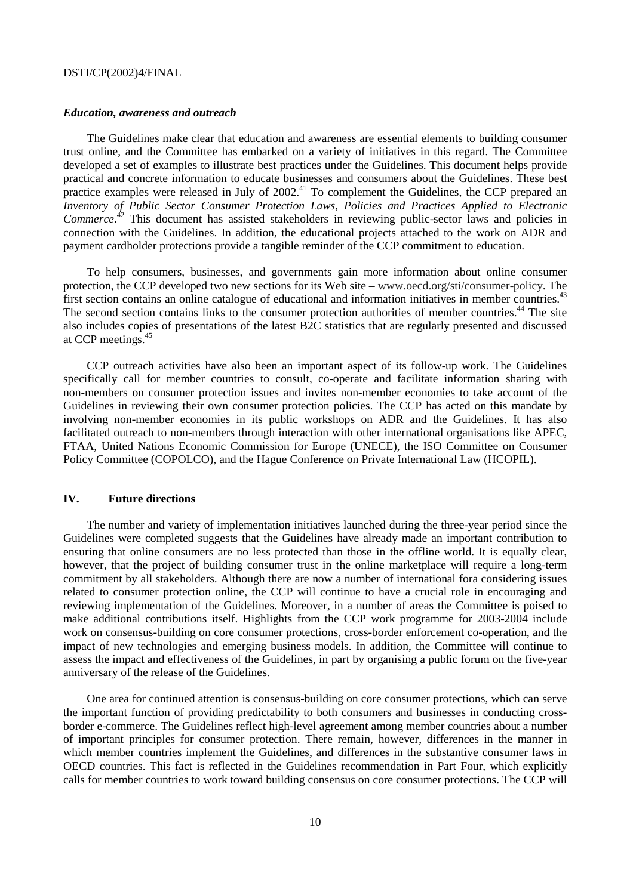### *Education, awareness and outreach*

The Guidelines make clear that education and awareness are essential elements to building consumer trust online, and the Committee has embarked on a variety of initiatives in this regard. The Committee developed a set of examples to illustrate best practices under the Guidelines. This document helps provide practical and concrete information to educate businesses and consumers about the Guidelines. These best practice examples were released in July of  $2002<sup>41</sup>$  To complement the Guidelines, the CCP prepared an *Inventory of Public Sector Consumer Protection Laws, Policies and Practices Applied to Electronic*  Commerce.<sup>42</sup> This document has assisted stakeholders in reviewing public-sector laws and policies in connection with the Guidelines. In addition, the educational projects attached to the work on ADR and payment cardholder protections provide a tangible reminder of the CCP commitment to education.

To help consumers, businesses, and governments gain more information about online consumer protection, the CCP developed two new sections for its Web site – www.oecd.org/sti/consumer-policy. The first section contains an online catalogue of educational and information initiatives in member countries.<sup>43</sup> The second section contains links to the consumer protection authorities of member countries.<sup>44</sup> The site also includes copies of presentations of the latest B2C statistics that are regularly presented and discussed at CCP meetings.45

CCP outreach activities have also been an important aspect of its follow-up work. The Guidelines specifically call for member countries to consult, co-operate and facilitate information sharing with non-members on consumer protection issues and invites non-member economies to take account of the Guidelines in reviewing their own consumer protection policies. The CCP has acted on this mandate by involving non-member economies in its public workshops on ADR and the Guidelines. It has also facilitated outreach to non-members through interaction with other international organisations like APEC, FTAA, United Nations Economic Commission for Europe (UNECE), the ISO Committee on Consumer Policy Committee (COPOLCO), and the Hague Conference on Private International Law (HCOPIL).

### **IV. Future directions**

The number and variety of implementation initiatives launched during the three-year period since the Guidelines were completed suggests that the Guidelines have already made an important contribution to ensuring that online consumers are no less protected than those in the offline world. It is equally clear, however, that the project of building consumer trust in the online marketplace will require a long-term commitment by all stakeholders. Although there are now a number of international fora considering issues related to consumer protection online, the CCP will continue to have a crucial role in encouraging and reviewing implementation of the Guidelines. Moreover, in a number of areas the Committee is poised to make additional contributions itself. Highlights from the CCP work programme for 2003-2004 include work on consensus-building on core consumer protections, cross-border enforcement co-operation, and the impact of new technologies and emerging business models. In addition, the Committee will continue to assess the impact and effectiveness of the Guidelines, in part by organising a public forum on the five-year anniversary of the release of the Guidelines.

One area for continued attention is consensus-building on core consumer protections, which can serve the important function of providing predictability to both consumers and businesses in conducting crossborder e-commerce. The Guidelines reflect high-level agreement among member countries about a number of important principles for consumer protection. There remain, however, differences in the manner in which member countries implement the Guidelines, and differences in the substantive consumer laws in OECD countries. This fact is reflected in the Guidelines recommendation in Part Four, which explicitly calls for member countries to work toward building consensus on core consumer protections. The CCP will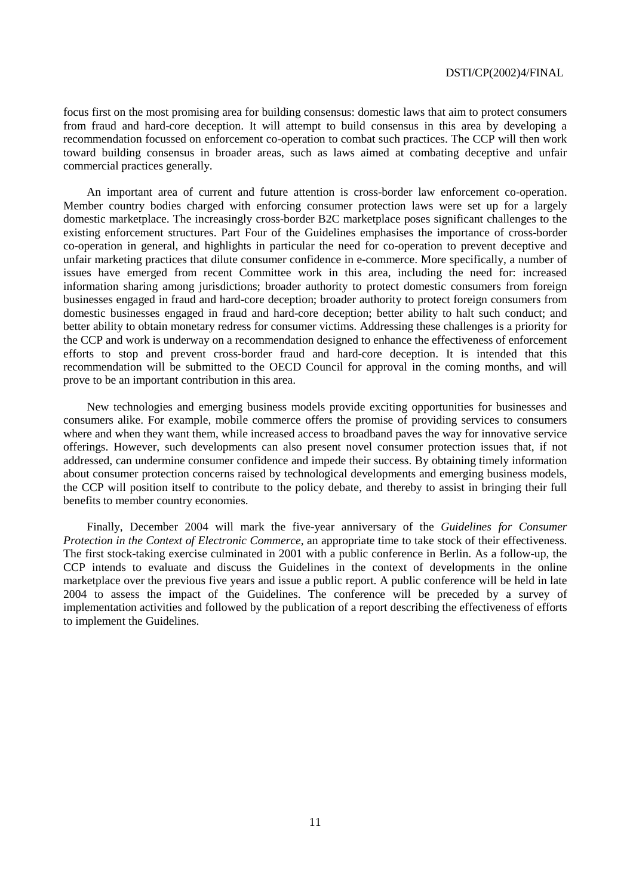focus first on the most promising area for building consensus: domestic laws that aim to protect consumers from fraud and hard-core deception. It will attempt to build consensus in this area by developing a recommendation focussed on enforcement co-operation to combat such practices. The CCP will then work toward building consensus in broader areas, such as laws aimed at combating deceptive and unfair commercial practices generally.

An important area of current and future attention is cross-border law enforcement co-operation. Member country bodies charged with enforcing consumer protection laws were set up for a largely domestic marketplace. The increasingly cross-border B2C marketplace poses significant challenges to the existing enforcement structures. Part Four of the Guidelines emphasises the importance of cross-border co-operation in general, and highlights in particular the need for co-operation to prevent deceptive and unfair marketing practices that dilute consumer confidence in e-commerce. More specifically, a number of issues have emerged from recent Committee work in this area, including the need for: increased information sharing among jurisdictions; broader authority to protect domestic consumers from foreign businesses engaged in fraud and hard-core deception; broader authority to protect foreign consumers from domestic businesses engaged in fraud and hard-core deception; better ability to halt such conduct; and better ability to obtain monetary redress for consumer victims. Addressing these challenges is a priority for the CCP and work is underway on a recommendation designed to enhance the effectiveness of enforcement efforts to stop and prevent cross-border fraud and hard-core deception. It is intended that this recommendation will be submitted to the OECD Council for approval in the coming months, and will prove to be an important contribution in this area.

New technologies and emerging business models provide exciting opportunities for businesses and consumers alike. For example, mobile commerce offers the promise of providing services to consumers where and when they want them, while increased access to broadband paves the way for innovative service offerings. However, such developments can also present novel consumer protection issues that, if not addressed, can undermine consumer confidence and impede their success. By obtaining timely information about consumer protection concerns raised by technological developments and emerging business models, the CCP will position itself to contribute to the policy debate, and thereby to assist in bringing their full benefits to member country economies.

Finally, December 2004 will mark the five-year anniversary of the *Guidelines for Consumer Protection in the Context of Electronic Commerce*, an appropriate time to take stock of their effectiveness. The first stock-taking exercise culminated in 2001 with a public conference in Berlin. As a follow-up, the CCP intends to evaluate and discuss the Guidelines in the context of developments in the online marketplace over the previous five years and issue a public report. A public conference will be held in late 2004 to assess the impact of the Guidelines. The conference will be preceded by a survey of implementation activities and followed by the publication of a report describing the effectiveness of efforts to implement the Guidelines.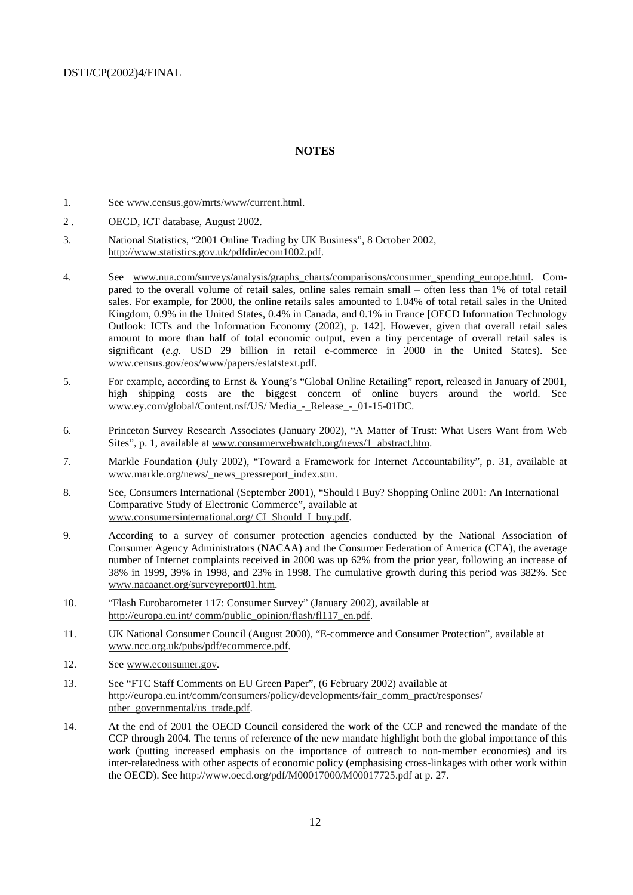### **NOTES**

- 1. See www.census.gov/mrts/www/current.html.
- 2 . OECD, ICT database, August 2002.
- 3. National Statistics, "2001 Online Trading by UK Business", 8 October 2002, http://www.statistics.gov.uk/pdfdir/ecom1002.pdf.
- 4. See www.nua.com/surveys/analysis/graphs\_charts/comparisons/consumer\_spending\_europe.html. Compared to the overall volume of retail sales, online sales remain small – often less than 1% of total retail sales. For example, for 2000, the online retails sales amounted to 1.04% of total retail sales in the United Kingdom, 0.9% in the United States, 0.4% in Canada, and 0.1% in France [OECD Information Technology Outlook: ICTs and the Information Economy (2002), p. 142]. However, given that overall retail sales amount to more than half of total economic output, even a tiny percentage of overall retail sales is significant (*e.g.* USD 29 billion in retail e-commerce in 2000 in the United States). See www.census.gov/eos/www/papers/estatstext.pdf.
- 5. For example, according to Ernst & Young's "Global Online Retailing" report, released in January of 2001, high shipping costs are the biggest concern of online buyers around the world. See www.ey.com/global/Content.nsf/US/ Media\_-\_Release\_-\_01-15-01DC.
- 6. Princeton Survey Research Associates (January 2002), "A Matter of Trust: What Users Want from Web Sites", p. 1, available at www.consumerwebwatch.org/news/1\_abstract.htm.
- 7. Markle Foundation (July 2002), "Toward a Framework for Internet Accountability", p. 31, available at www.markle.org/news/\_news\_pressreport\_index.stm.
- 8. See, Consumers International (September 2001), "Should I Buy? Shopping Online 2001: An International Comparative Study of Electronic Commerce", available at www.consumersinternational.org/ CI\_Should\_I\_buy.pdf.
- 9. According to a survey of consumer protection agencies conducted by the National Association of Consumer Agency Administrators (NACAA) and the Consumer Federation of America (CFA), the average number of Internet complaints received in 2000 was up 62% from the prior year, following an increase of 38% in 1999, 39% in 1998, and 23% in 1998. The cumulative growth during this period was 382%. See www.nacaanet.org/surveyreport01.htm.
- 10. "Flash Eurobarometer 117: Consumer Survey" (January 2002), available at http://europa.eu.int/ comm/public\_opinion/flash/fl117\_en.pdf.
- 11. UK National Consumer Council (August 2000), "E-commerce and Consumer Protection", available at www.ncc.org.uk/pubs/pdf/ecommerce.pdf.
- 12. See www.econsumer.gov.
- 13. See "FTC Staff Comments on EU Green Paper", (6 February 2002) available at http://europa.eu.int/comm/consumers/policy/developments/fair\_comm\_pract/responses/ other\_governmental/us\_trade.pdf.
- 14. At the end of 2001 the OECD Council considered the work of the CCP and renewed the mandate of the CCP through 2004. The terms of reference of the new mandate highlight both the global importance of this work (putting increased emphasis on the importance of outreach to non-member economies) and its inter-relatedness with other aspects of economic policy (emphasising cross-linkages with other work within the OECD). See http://www.oecd.org/pdf/M00017000/M00017725.pdf at p. 27.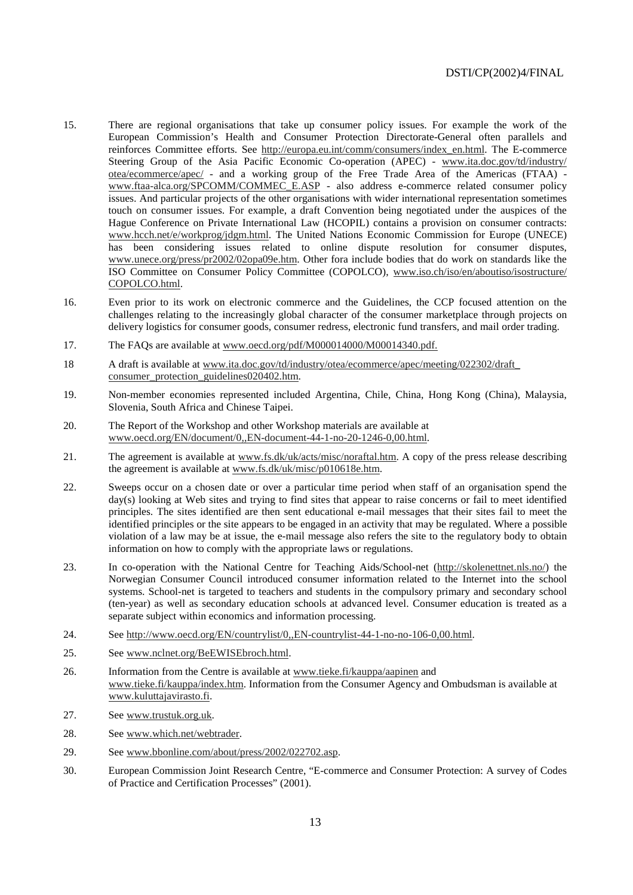- 15. There are regional organisations that take up consumer policy issues. For example the work of the European Commission's Health and Consumer Protection Directorate-General often parallels and reinforces Committee efforts. See http://europa.eu.int/comm/consumers/index\_en.html. The E-commerce Steering Group of the Asia Pacific Economic Co-operation (APEC) - www.ita.doc.gov/td/industry/ otea/ecommerce/apec/ - and a working group of the Free Trade Area of the Americas (FTAA) www.ftaa-alca.org/SPCOMM/COMMEC\_E.ASP - also address e-commerce related consumer policy issues. And particular projects of the other organisations with wider international representation sometimes touch on consumer issues. For example, a draft Convention being negotiated under the auspices of the Hague Conference on Private International Law (HCOPIL) contains a provision on consumer contracts: www.hcch.net/e/workprog/jdgm.html. The United Nations Economic Commission for Europe (UNECE) has been considering issues related to online dispute resolution for consumer disputes, www.unece.org/press/pr2002/02opa09e.htm. Other fora include bodies that do work on standards like the ISO Committee on Consumer Policy Committee (COPOLCO), www.iso.ch/iso/en/aboutiso/isostructure/ COPOLCO.html.
- 16. Even prior to its work on electronic commerce and the Guidelines, the CCP focused attention on the challenges relating to the increasingly global character of the consumer marketplace through projects on delivery logistics for consumer goods, consumer redress, electronic fund transfers, and mail order trading.
- 17. The FAQs are available at www.oecd.org/pdf/M000014000/M00014340.pdf.
- 18 A draft is available at www.ita.doc.gov/td/industry/otea/ecommerce/apec/meeting/022302/draft\_ consumer\_protection\_guidelines020402.htm.
- 19. Non-member economies represented included Argentina, Chile, China, Hong Kong (China), Malaysia, Slovenia, South Africa and Chinese Taipei.
- 20. The Report of the Workshop and other Workshop materials are available at www.oecd.org/EN/document/0,,EN-document-44-1-no-20-1246-0,00.html.
- 21. The agreement is available at www.fs.dk/uk/acts/misc/noraftal.htm. A copy of the press release describing the agreement is available at www.fs.dk/uk/misc/p010618e.htm.
- 22. Sweeps occur on a chosen date or over a particular time period when staff of an organisation spend the day(s) looking at Web sites and trying to find sites that appear to raise concerns or fail to meet identified principles. The sites identified are then sent educational e-mail messages that their sites fail to meet the identified principles or the site appears to be engaged in an activity that may be regulated. Where a possible violation of a law may be at issue, the e-mail message also refers the site to the regulatory body to obtain information on how to comply with the appropriate laws or regulations.
- 23. In co-operation with the National Centre for Teaching Aids/School-net (http://skolenettnet.nls.no/) the Norwegian Consumer Council introduced consumer information related to the Internet into the school systems. School-net is targeted to teachers and students in the compulsory primary and secondary school (ten-year) as well as secondary education schools at advanced level. Consumer education is treated as a separate subject within economics and information processing.
- 24. See http://www.oecd.org/EN/countrylist/0,,EN-countrylist-44-1-no-no-106-0,00.html.
- 25. See www.nclnet.org/BeEWISEbroch.html.
- 26. Information from the Centre is available at www.tieke.fi/kauppa/aapinen and www.tieke.fi/kauppa/index.htm. Information from the Consumer Agency and Ombudsman is available at www.kuluttajavirasto.fi.
- 27. See www.trustuk.org.uk.
- 28. See www.which.net/webtrader.
- 29. See www.bbonline.com/about/press/2002/022702.asp.
- 30. European Commission Joint Research Centre, "E-commerce and Consumer Protection: A survey of Codes of Practice and Certification Processes" (2001).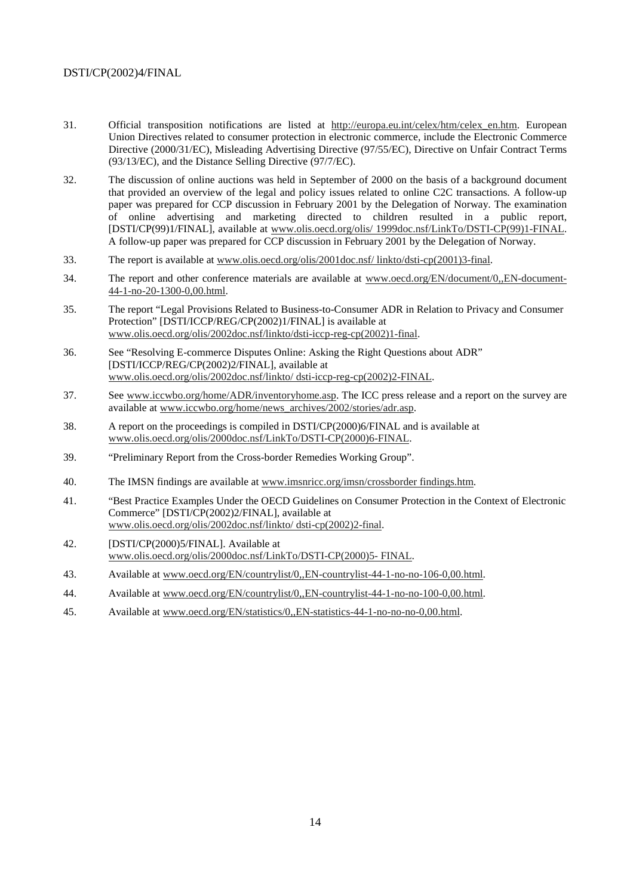- 31. Official transposition notifications are listed at http://europa.eu.int/celex/htm/celex\_en.htm. European Union Directives related to consumer protection in electronic commerce, include the Electronic Commerce Directive (2000/31/EC), Misleading Advertising Directive (97/55/EC), Directive on Unfair Contract Terms (93/13/EC), and the Distance Selling Directive (97/7/EC).
- 32. The discussion of online auctions was held in September of 2000 on the basis of a background document that provided an overview of the legal and policy issues related to online C2C transactions. A follow-up paper was prepared for CCP discussion in February 2001 by the Delegation of Norway. The examination of online advertising and marketing directed to children resulted in a public report, [DSTI/CP(99)1/FINAL], available at www.olis.oecd.org/olis/ 1999doc.nsf/LinkTo/DSTI-CP(99)1-FINAL. A follow-up paper was prepared for CCP discussion in February 2001 by the Delegation of Norway.
- 33. The report is available at www.olis.oecd.org/olis/2001doc.nsf/ linkto/dsti-cp(2001)3-final.
- 34. The report and other conference materials are available at www.oecd.org/EN/document/0,,EN-document-44-1-no-20-1300-0,00.html.
- 35. The report "Legal Provisions Related to Business-to-Consumer ADR in Relation to Privacy and Consumer Protection" [DSTI/ICCP/REG/CP(2002)1/FINAL] is available at www.olis.oecd.org/olis/2002doc.nsf/linkto/dsti-iccp-reg-cp(2002)1-final.
- 36. See "Resolving E-commerce Disputes Online: Asking the Right Questions about ADR" [DSTI/ICCP/REG/CP(2002)2/FINAL], available at www.olis.oecd.org/olis/2002doc.nsf/linkto/ dsti-iccp-reg-cp(2002)2-FINAL.
- 37. See www.iccwbo.org/home/ADR/inventoryhome.asp. The ICC press release and a report on the survey are available at www.iccwbo.org/home/news\_archives/2002/stories/adr.asp.
- 38. A report on the proceedings is compiled in DSTI/CP(2000)6/FINAL and is available at www.olis.oecd.org/olis/2000doc.nsf/LinkTo/DSTI-CP(2000)6-FINAL.
- 39. "Preliminary Report from the Cross-border Remedies Working Group".
- 40. The IMSN findings are available at www.imsnricc.org/imsn/crossborder findings.htm.
- 41. "Best Practice Examples Under the OECD Guidelines on Consumer Protection in the Context of Electronic Commerce" [DSTI/CP(2002)2/FINAL], available at www.olis.oecd.org/olis/2002doc.nsf/linkto/ dsti-cp(2002)2-final.
- 42. [DSTI/CP(2000)5/FINAL]. Available at www.olis.oecd.org/olis/2000doc.nsf/LinkTo/DSTI-CP(2000)5- FINAL.
- 43. Available at www.oecd.org/EN/countrylist/0,,EN-countrylist-44-1-no-no-106-0,00.html.
- 44. Available at www.oecd.org/EN/countrylist/0,,EN-countrylist-44-1-no-no-100-0,00.html.
- 45. Available at www.oecd.org/EN/statistics/0,,EN-statistics-44-1-no-no-no-0,00.html.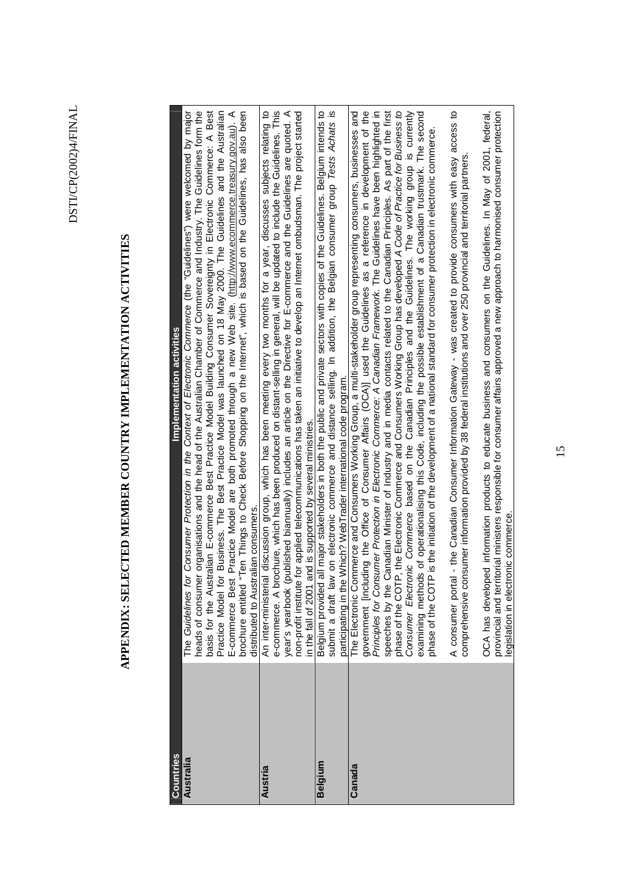# APPENDIX: SELECTED MEMBER COUNTRY IMPLEMENTATION ACTIVITIES **APPENDIX: SELECTED MEMBER COUNTRY IMPLEMENTATION ACTIVITIES**

| Countries | Implementation activities                                                                                                                                                                                                                        |
|-----------|--------------------------------------------------------------------------------------------------------------------------------------------------------------------------------------------------------------------------------------------------|
| Australia | The Guidelines for Consumer Protection in the Context of Electronic Commerce (the "Guidelines") were welcomed by major                                                                                                                           |
|           | heads of consumer organisations and the head of the Australian Chamber of Commerce and Industry. The Guidelines form the<br>basis for the Australian E-commerce Best Practice Model Building Consumer Sovereignty in Electronic Commerce: A Best |
|           | Practice Model for Business. The Best Practice Model was launched on 18 May 2000. The Guidelines and the Australian                                                                                                                              |
|           | E-commerce Best Practice Model are both promoted through a new Web site. (http://www.ecommerce.treasury.gov.au). A                                                                                                                               |
|           | "Ten Things to Check Before Shopping on the Internet", which is based on the Guidelines, has also been<br>brochure entitled                                                                                                                      |
|           | trallan consumers<br>distributed to Aust                                                                                                                                                                                                         |
| Austria   | An inter-ministerial discussion group, which has been meeting every two months for a year, discusses subjects relating to                                                                                                                        |
|           | e-commerce. A brochure, which has been produced on distant-selling in general, will be updated to include the Guidelines. This                                                                                                                   |
|           | published biannually) includes an article on the Directive for E-commerce and the Guidelines are quoted. A<br>year's yearbook                                                                                                                    |
|           | non-profit institute for applied telecommunications has taken an initiative to develop an Internet ombudsman. The project started<br>in the fall of 2001 and is supported by several ministries.                                                 |
|           |                                                                                                                                                                                                                                                  |
| Belgium   | all major stakeholders in both the public and private sectors with copies of the Guidelines. Belgium intends to<br>Belgium provided                                                                                                              |
|           | w on electronic commerce and distance selling. In addition, the Belgian consumer group Tests Achats is<br>submit a draft la                                                                                                                      |
|           | participating in the Which? WebTrader international code program.                                                                                                                                                                                |
| Canada    | The Electronic Commerce and Consumers Working Group, a multi-stakeholder group representing consumers, businesses and                                                                                                                            |
|           | government [including the Office of Consumer Affairs (OCA)] used the Guidelines as a reference in development of the                                                                                                                             |
|           | nsurner Protection in Electronic Commerce: A Canadian Framework. The Guidelines have been highlighted in<br>Principles for Cor                                                                                                                   |
|           | Canadian Minister of Industry and in media contacts related to the Canadian Principles. As part of the first<br>speeches by the                                                                                                                  |
|           | P, the Electronic Commerce and Consumers Working Group has developed A Code of Practice for Business to<br>phase of the COT                                                                                                                      |
|           | Consumer Electronic Commerce based on the Canadian Principles and the Guidelines. The working group is currently                                                                                                                                 |
|           | examining methods of operationalising this Code, including the possible establishment of a Canadian trustmark. The second                                                                                                                        |
|           | P is the initiation of the development of a national standard for consumer protection in electronic commerce.<br>phase of the COT                                                                                                                |
|           |                                                                                                                                                                                                                                                  |
|           | A consumer portal - the Canadian Consumer Information Gateway - was created to provide consumers with easy access to                                                                                                                             |
|           | comprehensive consumer information provided by 38 federal institutions and over 250 provincial and territorial partners.                                                                                                                         |
|           | OCA has developed information products to educate business and consumers on the Guidelines. In May of 2001, federal,                                                                                                                             |
|           | ticrial ministers responsible for consumer affairs approved a new approach to harmonised consumer protection<br>legislation in electronic commerce<br>provincial and ter                                                                         |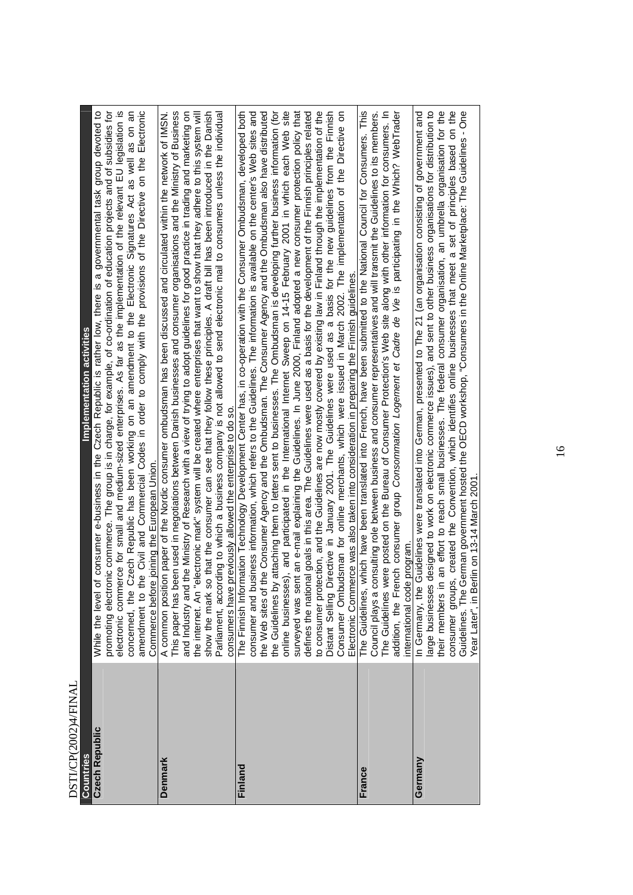| DO I L'OLIVATION      |                                                                                                                                                                                                                                                                        |
|-----------------------|------------------------------------------------------------------------------------------------------------------------------------------------------------------------------------------------------------------------------------------------------------------------|
| Countries             | Implementation activities                                                                                                                                                                                                                                              |
| <b>Czech Republic</b> | promoting electronic commerce. The group is in charge, for example, of co-ordination of education projects and of subsidies for<br>of consumer e-business in the Czech Republic is rather low, there is a governmental task group devoted to<br>While the level        |
|                       | electronic commerce for small and medium-sized enterprises. As far as the implementation of the relevant EU legislation is<br>Czech Republic has been working on an amendment to the Electronic Signatures Act as well as on an<br>concerned, the                      |
|                       | Electronic<br>the Civil and Commercial Codes in order to comply with the provisions of the Directive on the<br>Commerce before joining the European Union<br>amendment to                                                                                              |
| Denmark               | A common position paper of the Nordic consumer ombudsman has been discussed and circulated within the network of IMSN                                                                                                                                                  |
|                       | een used in negotiations between Danish businesses and consumer organisations and the Ministry of Business<br>the Ministry of Research with a view of trying to adopt guidelines for good practice in trading and marketing on<br>This paper has b<br>and Industry and |
|                       | electronic mark" system will be created where enterprises that want to show that they adhere to this system will<br>the internet. An '                                                                                                                                 |
|                       | oo that the consumer can see that they follow these principles. A draft bill has been introduced in the Danish<br>show the mark s                                                                                                                                      |
|                       | rding to which a business company is not allowed to send electronic mail to consumers unless the individual<br>Parliament, acco                                                                                                                                        |
| Finland               | The Finnish Information Technology Development Center has, in co-operation with the Consumer Ombudsman, developed both<br>previously allowed the enterprise to do so.<br>consumers have                                                                                |
|                       | consumer and business information, which refers to the Guidelines. The information is available on the center's Web sites and                                                                                                                                          |
|                       | the Consumer Agency and the Ombudsman. The Consumer Agency and the Ombudsman also have distributed<br>the Web sites of                                                                                                                                                 |
|                       | y attaching them to letters sent to businesses. The Ombudsman is developing further business information (for<br>the Guidelines by                                                                                                                                     |
|                       | online businesses), and participated in the International Internet Sweep on 14-15 February 2001 in which each Web site                                                                                                                                                 |
|                       | surveyed was sent an e-mail explaining the Guidelines. In June 2000, Finland adopted a new consumer protection policy that                                                                                                                                             |
|                       | defines the national goals in this area. The Guidelines were used as a basis for the development of the Finnish principles related                                                                                                                                     |
|                       | to consumer protection, and the Guidelines are now mostly covered by existing law in Finland through the implementation of the                                                                                                                                         |
|                       | Directive in January 2001. The Guidelines were used as a basis for the new guidelines from the Finnish<br>Distant Selling                                                                                                                                              |
|                       | Consumer Ombudsman for online merchants, which were issued in March 2002. The implementation of the Directive on                                                                                                                                                       |
|                       | erce was also taken into consideration in preparing the Finnish guidelines<br>Electronic Comm                                                                                                                                                                          |
| France                | which have been translated into French, have been submitted to the National Council for Consumers. This<br>The Guidelines,                                                                                                                                             |
|                       | consulting role between business and consumer representatives and will transmit the Guidelines to its members.<br>Council plays a                                                                                                                                      |
|                       | were posted on the Bureau of Consumer Protection's Web site along with other information for consumers. In<br>The Guidelines                                                                                                                                           |
|                       | addition, the French consumer group Consommation Logement et Cadre de Vie is participating in the Which? WebTrader                                                                                                                                                     |
|                       | international code program                                                                                                                                                                                                                                             |
| Germany               | Guidelines were translated into German, presented to The 21 (an organisation consisting of government and<br>In Germany, the                                                                                                                                           |
|                       | designed to work on electronic commerce issues), and sent to other business organisations for distribution to<br>large businesses                                                                                                                                      |
|                       | an effort to reach small businesses. The federal consumer organisation, an umbrella organisation for the<br>their members i                                                                                                                                            |
|                       | s, created the Convention, which identifies online businesses that meet a set of principles based on the                                                                                                                                                               |
|                       | German government hosted the OECD workshop, "Consumers in the Online Marketplace: The Guidelines - One<br>consumer groups, created the Conventio<br>Guidelines. The German government hoste<br>Year Later", in Berlin on 13-14 March 2001                              |
|                       |                                                                                                                                                                                                                                                                        |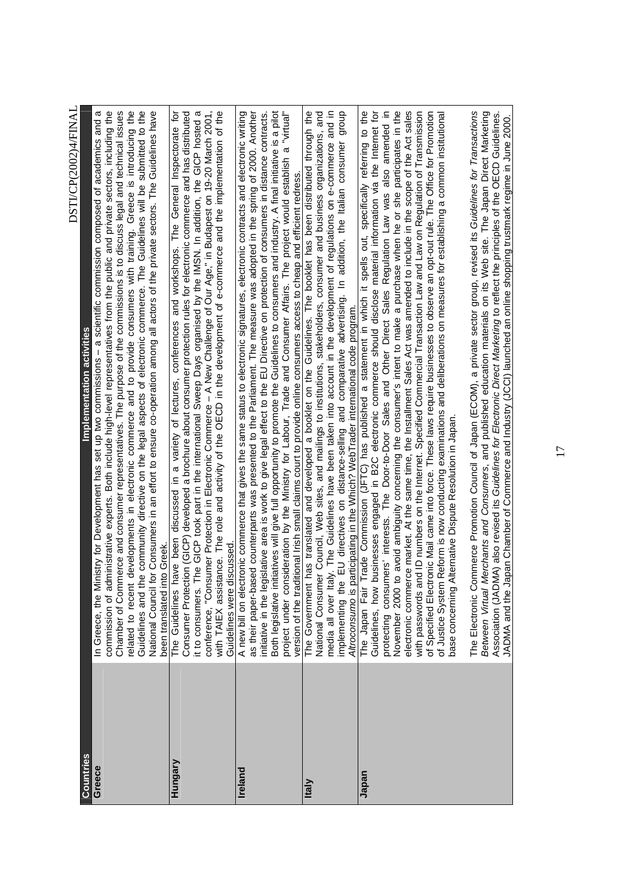|                | DSITCF(2002)4/FINAI                                                                                                                                                                                                                                                                                                                                                                                                                                                                                                                                                                                                                                                                                                                                                                                                                                                                                                                                                                                                                                                                 |
|----------------|-------------------------------------------------------------------------------------------------------------------------------------------------------------------------------------------------------------------------------------------------------------------------------------------------------------------------------------------------------------------------------------------------------------------------------------------------------------------------------------------------------------------------------------------------------------------------------------------------------------------------------------------------------------------------------------------------------------------------------------------------------------------------------------------------------------------------------------------------------------------------------------------------------------------------------------------------------------------------------------------------------------------------------------------------------------------------------------|
| Countries      | Implementation activities                                                                                                                                                                                                                                                                                                                                                                                                                                                                                                                                                                                                                                                                                                                                                                                                                                                                                                                                                                                                                                                           |
| Greece         | commission of administrative experts. Both include high-level representatives from the public and private sectors, including the<br>Chamber of Commerce and consumer representatives. The purpose of the commissions is to discuss legal and technical issues<br>t developments in electronic commerce and to provide consumers with training. Greece is introducing the<br>the community directive on the legal aspects of electronic commerce. The Guidelines will be submitted to the<br>for Consumers in an effort to ensure co-operation among all actors of the private sectors. The Guidelines have<br>linistry for Development has set up two commissions - a scientific commission composed of academics and a<br>nto Greel<br>In Greece, the N<br>related to recent<br>been translated i<br>National Council<br>Guidelines and                                                                                                                                                                                                                                            |
| Hungary        | The role and activity of the OECD in the development of e-commerce and the implementation of the<br>Consumer Protection (GICP) developed a brochure about consumer protection rules for electronic commerce and has distributed<br>The GICP took part in the international Sweep Days organised by the IMSN. In addition, the GICP hosted a<br>conference, "Consumer Protection in Electronic Commerce – A New Challenge of Our Age," in Budapest on 19-20 March 2001,<br>with TAIEX assistance. The role and activity of the OECD in the development of e-commerce and the impl<br>have been discussed in a variety of lectures, conferences and workshops. The General Inspectorate for<br>Guidelines were discussed<br>it to consumers.<br>The Guidelines                                                                                                                                                                                                                                                                                                                        |
| <b>Ireland</b> | A new bill on electronic commerce that gives the same status to electronic signatures, electronic contracts and electronic writing<br>nitiatives will give full opportunity to promote the Guidelines to consumers and industry. A final initiative is a pilot<br>as their paper-based counterparts was presented to the Parliament. The measure was adopted in the spring of 2000. Another<br>initiative in the legislative area is work to give legal effect to the EU Directive on protection of consumers in distance contracts<br>project under consideration by the Ministry for Labour, Trade and Consumer Affairs. The project would establish a "virtual<br>version of the traditional Irish small claims court to provide online consumers access to cheap and efficient redress<br>Both legislative i                                                                                                                                                                                                                                                                    |
| <b>Italy</b>   | group<br>The Government has translated and developed a booklet on the Guidelines. The booklet has been distributed through the<br>National Consumer Council, Web sites, and mailings to institutions, stakeholders, consumer and business organizations, and<br>media all over Italy. The Guidelines have been taken into account in the development of regulations on e-commerce and in<br>consumer<br>EU directives on distance-selling and comparative advertising. In addition, the Italian<br>Altroconsumo is participating in the Which? WebTrader international code program.<br>implementing the                                                                                                                                                                                                                                                                                                                                                                                                                                                                            |
| Japan          | Trade Commission (JFTC) has published a statement in which it spells out, specifically referring to the<br>to avoid ambiguity concerning the consumer's intent to make a purchase when he or she participates in the<br>imers' interests. The Door-to-Door Sales and Other Direct Sales Regulation Law was also amended in<br>electronic commerce market. At the same time, the Installment Sales Act was amended to include in the scope of the Act sales<br>with passwords and ID numbers on the Internet. Specified Commercial Transaction Law and Law on Regulation of Transmission<br>of Specified Electronic Mail came into force. These laws require businesses to observe an opt-out ru<br>businesses engaged in B2C electronic commerce should disclose material information via the Internet for<br>of Justice System Reform is now conducting examinations and deliberations on measures for establishing a common institutional<br>Alternative Dispute Resolution in Japan<br>The Japan Fair<br>Guidelines, how<br>protecting consu<br>November 2000<br>base concerning |
|                | ommerce Promotion Council of Japan (ECOM), a private sector group, revised its Guidelines for Transactions<br>Merchants and Consumers, and published education materials on its Web site. The Japan Direct Marketing<br>Association (JADMA) also revised its Guidelines for Electronic Direct Marketing to reflect the principles of the OECD Guidelines<br>Japan Chamber of Commerce and Industry (JCCI) launched an online shopping trustmark regime in June 2000.<br>The Electronic C<br>JADMA and the<br>Between Virtual                                                                                                                                                                                                                                                                                                                                                                                                                                                                                                                                                        |

DSTI/CP(2002)4/FINAL  $DSTICP(2002)4/FINA$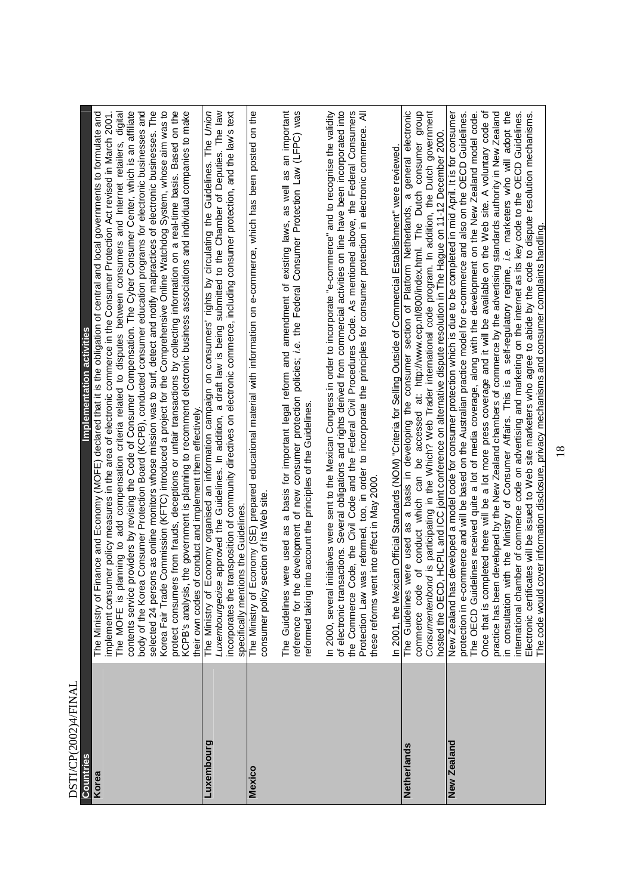| <b>DO I IVER 2002) AVE IN AL</b> |                                                                                                                                                                                                                                                                                                                                                                                                                                                                                                                                                                                                                                                                                                                                                                                                                                                                                                                                                                                                                                                                                                                                                                                                                                                                  |
|----------------------------------|------------------------------------------------------------------------------------------------------------------------------------------------------------------------------------------------------------------------------------------------------------------------------------------------------------------------------------------------------------------------------------------------------------------------------------------------------------------------------------------------------------------------------------------------------------------------------------------------------------------------------------------------------------------------------------------------------------------------------------------------------------------------------------------------------------------------------------------------------------------------------------------------------------------------------------------------------------------------------------------------------------------------------------------------------------------------------------------------------------------------------------------------------------------------------------------------------------------------------------------------------------------|
| Countries                        | Implementation activities                                                                                                                                                                                                                                                                                                                                                                                                                                                                                                                                                                                                                                                                                                                                                                                                                                                                                                                                                                                                                                                                                                                                                                                                                                        |
| Korea                            | selected 24 persons as online monitors whose mission was to surf, detect and notify malpractices of electronic businesses. The<br>providers by revising the Code of Consumer Compensation. The Cyber Consumer Center, which is an affiliate<br>rs from frauds, deceptions or unfair transactions by collecting information on a real-time basis. Based on the<br>the government is planning to recommend electronic business associations and individual companies to make<br>a Consumer Protection Board (KCPB), conducted consumer education programs for electronic businesses and<br>Korea Fair Trade Commission (KFTC) introduced a project for the Comprehensive Online Watchdog System, whose aim was to<br>The Ministry of Finance and Economy (MOFE) declared that it is the obligation of central and local governments to formulate and<br>lanning to add compensation criteria related to disputes between consumers and Internet retailers, digital<br>mer policy measures in the area of electronic commerce in the Consumer Protection Act revised in March 2001.<br>their own codes of conduct and implement them effectively.<br>implement consu<br>The MOFE is p<br>contents service<br>body of the Kore<br>protect consume<br>KCPB's analysis |
| Luxembourg                       | Economy organised an information campaign on consumers' rights by circulating the Guidelines. The Union<br>Luxembourgeoise approved the Guidelines. In addition, a draft law is being submitted to the Chamber of Deputies. The law<br>transposition of community directives on electronic commerce, including consumer protection, and the law's text<br>specifically mentions the Guidelines<br>incorporates the<br>The Ministry of                                                                                                                                                                                                                                                                                                                                                                                                                                                                                                                                                                                                                                                                                                                                                                                                                            |
| Mexico                           | Economy (SE) prepared educational material with information on e-commerce, which has been posted on the<br>were used as a basis for important legal reform and amendment of existing laws, as well as an important<br>section of its Web site<br>consumer policy<br>The Ministry of<br>The Guidelines                                                                                                                                                                                                                                                                                                                                                                                                                                                                                                                                                                                                                                                                                                                                                                                                                                                                                                                                                            |
|                                  | e development of new consumer protection policies; i.e. the Federal Consumer Protection Law (LFPC) was<br>into account the principles of the Guidelines<br>reference for the<br>reformed taking                                                                                                                                                                                                                                                                                                                                                                                                                                                                                                                                                                                                                                                                                                                                                                                                                                                                                                                                                                                                                                                                  |
|                                  | sactions. Several obligations and rights derived from commercial activities on line have been incorporated into<br>initiatives were sent to the Mexican Congress in order to incorporate "e-commerce" and to recognise the validity<br>Code, the Civil Code and the Federal Civil Procedures Code. As mentioned above, the Federal Consumers<br>was reformed, too, in order to incorporate the principles for consumer protection in electronic commerce. All<br>In 2001, the Mexican Official Standards (NOM) "Criteria for Selling Outside of Commercial Establishment" were reviewed<br>these reforms went into effect in May 2000<br>of electronic tran<br>In 2000, several<br>Protection Law<br>the Commerce                                                                                                                                                                                                                                                                                                                                                                                                                                                                                                                                                |
| Netherlands                      | dho.b<br>general electronic<br>Consumentenbond is participating in the Which? Web Trader international code program. In addition, the Dutch government<br>hosted the OECD, HCPIL and ICC joint conference on alternative dispute resolution in The Hague on 11-12 December 2000.<br>conduct which can be accessed at: http://www.ecp.nl/800/index.html. The Dutch consumer<br>were used as a basis in developing the consumer section of Platform Netherlands, a<br>ď<br>commerce code<br>The Guidelines                                                                                                                                                                                                                                                                                                                                                                                                                                                                                                                                                                                                                                                                                                                                                         |
| New Zealand                      | with the Ministry of Consumer Affairs. This is a self-regulatory regime, i.e. marketers who will adopt the<br>Once that is completed there will be a lot more press coverage and it will be available on the Web site. A voluntary code of<br>practice has been developed by the New Zealand chambers of commerce by the advertising standards authority in New Zealand<br>New Zealand has developed a model code for consumer protection which is due to be completed in mid April. It is for consumer<br>lelines received quite a lot of media coverage, along with the development on the New Zealand model code.<br>protection in e-commerce and will be based on the Australian practice model for e-commerce and also on the OECD Guidelines.<br>nternational chamber of commerce code on advertising and marketing on the internet as its key code to the OECD Guidelines.<br>Electronic certificates will be issued to Web site marketers who agree to abide by the code to dispute resolution mechanisms<br>cover information disclosure, privacy mechanisms and consumer complaints handling<br>The OECD Guid<br>in consultation<br>The code would                                                                                                     |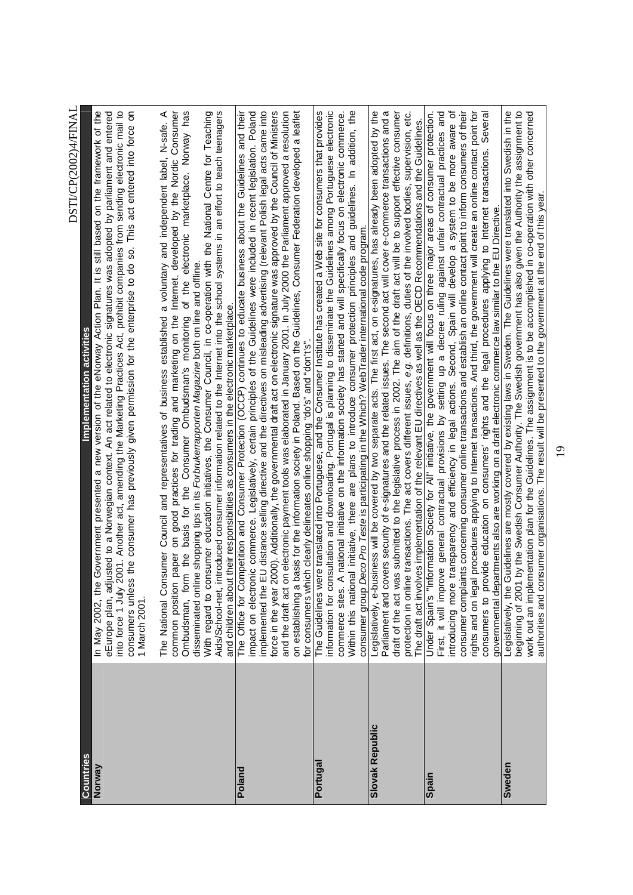|                        | DS I I/CF(2002/4/FIINAL                                                                                                                                                                                                                                                                                                                                                                                                                                                                                                                                                                                                                                                                                                                      |
|------------------------|----------------------------------------------------------------------------------------------------------------------------------------------------------------------------------------------------------------------------------------------------------------------------------------------------------------------------------------------------------------------------------------------------------------------------------------------------------------------------------------------------------------------------------------------------------------------------------------------------------------------------------------------------------------------------------------------------------------------------------------------|
| Countries              | Implementation activities                                                                                                                                                                                                                                                                                                                                                                                                                                                                                                                                                                                                                                                                                                                    |
| Norway                 | 2001. Another act, amending the Marketing Practices Act, prohibit companies from sending electronic mail to<br>In May 2002, the Government presented a new version of the eNorway Action Plan. It is still based on the framework of the<br>is the consumer has previously given permission for the enterprise to do so. This act entered into force on<br>eEurope plan, adjusted to a Norwegian context. An act related to electronic signatures was adopted by parliament and entered<br>into force 1 July<br>consumers unles<br>1 March 2001.                                                                                                                                                                                             |
|                        | electronic marketplace. Norway has<br>introduced consumer information related to the Internet into the school systems in an effort to teach teenagers<br>The National Consumer Council and representatives of business established a voluntary and independent label, N-safe. A<br>common position paper on good practices for trading and marketing on the Internet, developed by the Nordic Consumer<br>With regard to consumer education initiatives, the Consumer Council, in co-operation with the National Centre for Teaching<br>disseminated online shopping tips in its Forbrukerrapporten Magazine both on line and offline.<br>of the<br>basis for the Consumer Ombudsman's monitoring<br>Ombudsman, form the<br>Aids/School-net, |
| Poland                 | EU distance selling directive and the directives on misleading advertising (relevant Polish legal acts came into<br>force in the year 2000). Additionally, the governmental draft act on electronic signature was approved by the Council of Ministers<br>impact on electronic commerce. Legislatively, certain principles of the Guidelines were included in recent legislation. Poland<br>The Office for Competition and Consumer Protection (OCCP) continues to educate business about the Guidelines and their<br>and children about their responsibilities as consumers in the electronic marketplace.<br>implemented the                                                                                                               |
|                        | on electronic payment tools was elaborated in January 2001. In July 2000 the Parliament approved a resolution<br>basis for the information society in Poland. Based on the Guidelines, Consumer Federation developed a leaflet<br>for consumers which clearly delineates online shopping "do's" and "don't's"<br>on establishing a<br>and the draft act                                                                                                                                                                                                                                                                                                                                                                                      |
| Portugal               | information for consultation and downloading. Portugal is planning to disseminate the Guidelines among Portuguese electronic<br>₽<br>The Guidelines were translated into Portuguese, and the Consumer Institute has created a Web site for consumers that provides<br>A national initiative on the information society has started and will specifically focus on electronic commerce.<br>addition,<br>and guidelines. In<br>nal initiative, there are plans to introduce consumer protection principles<br>commerce sites.<br>Within this natio                                                                                                                                                                                             |
|                        | consumer group Deco Pro Teste is participating in the Which? WebTrader international code program.                                                                                                                                                                                                                                                                                                                                                                                                                                                                                                                                                                                                                                           |
| <b>Slovak Republic</b> | Legislatively, e-business will be covered by two separate acts. The first act, on e-signatures, has already been adopted by the<br>Parliament and covers security of e-signatures and the related issues. The second act will cover e-commerce transactions and a<br>draft of the act was submitted to the legislative process in 2002. The aim of the draft act will be to support effective consumer<br>protection in online transactions. The act covers different issues, e.g. definitions, duties of the involved bodies, supervision, etc.<br>The draft act involves implementation of the relevant EU directives as well as the OECD Recommendations and the Guidelines.                                                              |
| Spain                  | setting up a decree ruling against unfair contractual practices and<br>introducing more transparency and efficiency in legal actions. Second, Spain will develop a system to be more aware of<br>consumer complaints concerning consumer online transactions and establish an online contact point to inform consumers of their<br>Under Spain's "Information Society for AII" initiative, the government will focus on three major areas of consumer protection<br>general contractual provisions by<br>9Ve<br>First, it will impr                                                                                                                                                                                                          |
|                        | rights and on legal procedures applying to Internet transactions. And third, the government will create an online contact point for<br>Several<br>covide education on consumers' rights and the legal procedures applying to Internet transactions.<br>governmental departments also are working on a draft electronic commerce law similar to the EU Directive<br>consumers to pr                                                                                                                                                                                                                                                                                                                                                           |
| Sweden                 | beginning of 2001 by the Swedish Consumer Authority. The Swedish government has also given the Authority the assignment to<br>Legislatively, the Guidelines are mostly covered by existing laws in Sweden. The Guidelines were translated into Swedish in the<br>work out an implementation plan for the Guidelines. The assignment is to be accomplished in co-operation with other concerned                                                                                                                                                                                                                                                                                                                                               |
|                        | authorities and consumer organisations. The result will be presented to the government at the end of this year                                                                                                                                                                                                                                                                                                                                                                                                                                                                                                                                                                                                                               |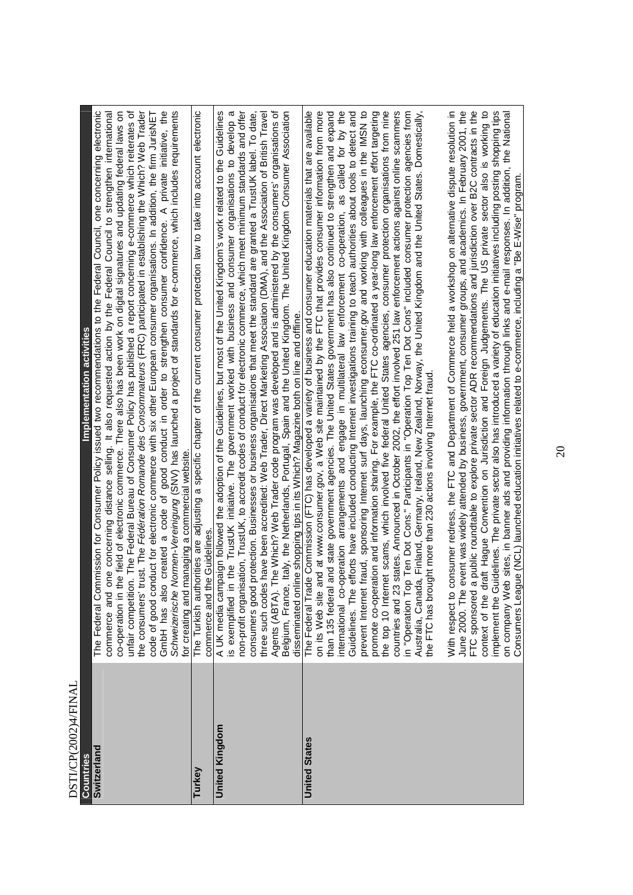| DSTI/CP(2002)4/FINAI  |                                                                                                                                                                                                                                                                                                                                                                                                                                                                                                                                                                                                                                                                                                                                                                                                                                                                                                                                                                                                                                                                                                                                                                                                                                                                                                                                                                                                                                                                                                                                                                                                                                                                                                                                                                                                                                                                                                                                                                                                                                                                                                                                                                                                                                                                                                                                                                           |
|-----------------------|---------------------------------------------------------------------------------------------------------------------------------------------------------------------------------------------------------------------------------------------------------------------------------------------------------------------------------------------------------------------------------------------------------------------------------------------------------------------------------------------------------------------------------------------------------------------------------------------------------------------------------------------------------------------------------------------------------------------------------------------------------------------------------------------------------------------------------------------------------------------------------------------------------------------------------------------------------------------------------------------------------------------------------------------------------------------------------------------------------------------------------------------------------------------------------------------------------------------------------------------------------------------------------------------------------------------------------------------------------------------------------------------------------------------------------------------------------------------------------------------------------------------------------------------------------------------------------------------------------------------------------------------------------------------------------------------------------------------------------------------------------------------------------------------------------------------------------------------------------------------------------------------------------------------------------------------------------------------------------------------------------------------------------------------------------------------------------------------------------------------------------------------------------------------------------------------------------------------------------------------------------------------------------------------------------------------------------------------------------------------------|
| <b>Countries</b>      | Implementation activities                                                                                                                                                                                                                                                                                                                                                                                                                                                                                                                                                                                                                                                                                                                                                                                                                                                                                                                                                                                                                                                                                                                                                                                                                                                                                                                                                                                                                                                                                                                                                                                                                                                                                                                                                                                                                                                                                                                                                                                                                                                                                                                                                                                                                                                                                                                                                 |
| Switzerland           | o created a code of good conduct in order to strengthen consumer confidence. A private initiative, the Normen-Vereinigung (SNV) has launched a project of standards for e-commerce, which includes requirements<br>co-operation in the field of electronic commerce. There also has been work on digital signatures and updating federal laws on<br>The Federal Commission for Consumer Policy issued two recommendations to the Federal Council, one concerning electronic<br>the consumers' trust. The Fédération Romande des Consommateurs (FRC) participated in establishing the Which? Web Trader<br>unfair competition. The Federal Bureau of Consumer Policy has published a report concerning e-commerce which reiterates of<br>code of good conduct for electronic commerce with six other European consumer organisations. In addition, the firm JurisNET<br>one concerning distance selling. It also requested action by the Federal Council to strengthen international<br>managing a commercial website.<br>GmbH has also<br>for creating and<br>commerce and<br>Schweizerische                                                                                                                                                                                                                                                                                                                                                                                                                                                                                                                                                                                                                                                                                                                                                                                                                                                                                                                                                                                                                                                                                                                                                                                                                                                                              |
| Turkey                | The Turkish authorities are adjusting a specific chapter of the current consumer protection law to take into account electronic<br>ne Guidelines.<br>commerce and th                                                                                                                                                                                                                                                                                                                                                                                                                                                                                                                                                                                                                                                                                                                                                                                                                                                                                                                                                                                                                                                                                                                                                                                                                                                                                                                                                                                                                                                                                                                                                                                                                                                                                                                                                                                                                                                                                                                                                                                                                                                                                                                                                                                                      |
| <b>United Kingdom</b> | A UK media campaign followed the adoption of the Guidelines, but most of the United Kingdom's work related to the Guidelines<br>is exemplified in the TrustUK initiative. The government worked with business and consumer organisations to develop a<br>three such codes have been accredited: Web Trader, Direct Marketing Association (DMA), and the Association of British Travel<br>Agents (ABTA). The Which? Web Trader code program was developed and is administered by the consum<br>non-profit organisation, TrustUK, to accredit codes of conduct for electronic commerce, which meet minimum standards and offer<br>protection. Businesses or business organisations that meet the standard are granted a TrustUK label. To date,<br>disseminated online shopping tips in its Which? Magazine both on line and offline.<br>consumers good                                                                                                                                                                                                                                                                                                                                                                                                                                                                                                                                                                                                                                                                                                                                                                                                                                                                                                                                                                                                                                                                                                                                                                                                                                                                                                                                                                                                                                                                                                                     |
| <b>United States</b>  | a public roundtable to explore private sector ADR recommendations and jurisdiction over B2C contracts in the<br>implement the Guidelines. The private sector also has introduced a variety of education initiatives including posting shopping tips<br>and at www.consumer.gov, a Web site maintained by the FTC that provides consumer information from more<br>international co-operation arrangements and engage in multilateral law enforcement co-operation, as called for by the<br>Guidelines. The efforts have included conducting Internet investigations training to teach authorities a<br>prevent Internet fraud, sponsoring Internet surf days, launching econsumer.gov and working with colleagues in the IMSN to<br>event was widely attended by business, government, consumer groups, and academics. In February 2001, the<br>iraft Hague Convention on Jurisdiction and Foreign Judgements. The US private sector also is working to<br>The Federal Trade Commission (FTC) has developed a variety of business and consumer education materials that are available<br>and state government agencies. The United States government has also continued to strengthen and expand<br>promote co-operation and information sharing. For example, the FTC co-ordinated a year-long law enforcement effort targeting<br>the top 10 Internet scams, which involved five federal United States agencies, consumer protection organisations from nine<br>countries and 23 states. Announced in October 2002, the effort involved 251 law enforcement actions against online scammers<br>in "Operation Top Ten Dot Cons." Participants in "Operation Top Ten Dot Cons" included consumer pr<br>Australia, Canada, Finland, Germany, Ireland, New Zealand, Norway, the United Kingdom and the United States. Domestically,<br>consumer redress, the FTC and Department of Commerce held a workshop on alternative dispute resolution in<br>on company Web sites, in banner ads and providing information through links and e-mail responses. In addition, the National<br>Consumers League (NCL) launched education initiatives related to e-commerce, including a "Be E-Wi<br>the FTC has brought more than 230 actions involving Internet fraud.<br>than 135 federal<br>context of the d<br>on its Web site<br>With respect to<br>June 2000. The<br>FTC sponsored |

20